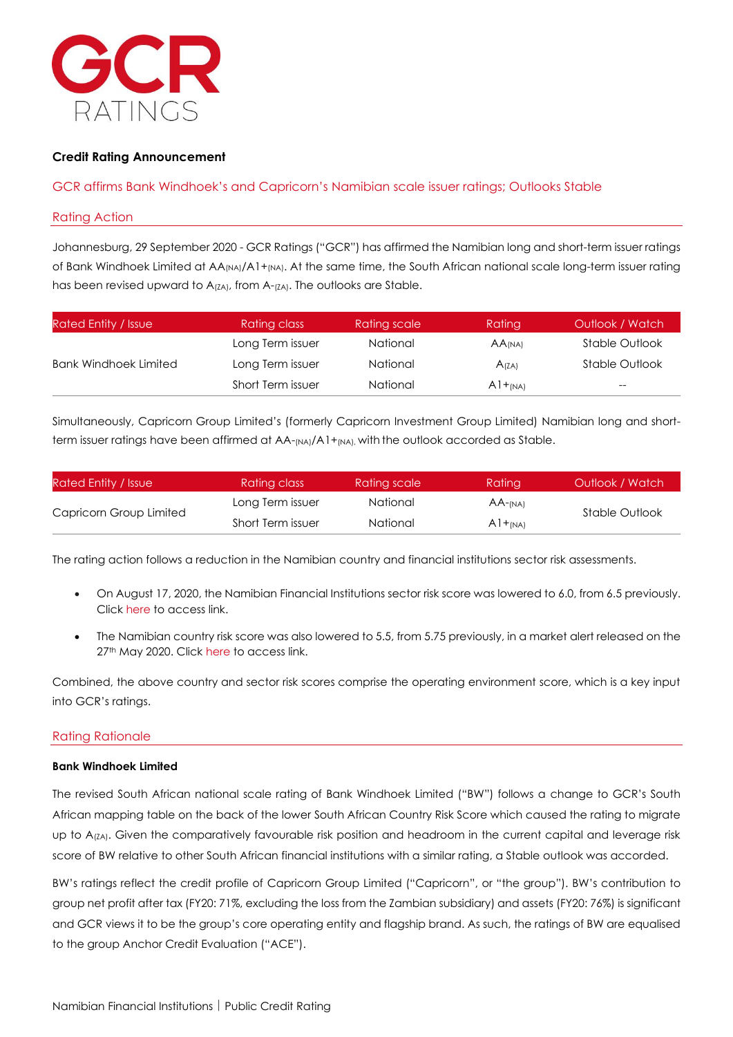

# **Credit Rating Announcement**

# GCR affirms Bank Windhoek's and Capricorn's Namibian scale issuer ratings; Outlooks Stable

#### Rating Action

Johannesburg, 29 September 2020 - GCR Ratings ("GCR") has affirmed the Namibian long and short-term issuer ratings of Bank Windhoek Limited at AA<sub>(NA)</sub>/A1+<sub>(NA)</sub>. At the same time, the South African national scale long-term issuer rating has been revised upward to  $A_{(ZA)}$ , from  $A_{(ZA)}$ . The outlooks are Stable.

| <b>Rated Entity / Issue</b>  | <b>Rating class</b> | Rating scale    | Rating               | Outlook / Watch |
|------------------------------|---------------------|-----------------|----------------------|-----------------|
|                              | Long Term issuer    | National        | $AA$ <sub>(NA)</sub> | Stable Outlook  |
| <b>Bank Windhoek Limited</b> | Long Term issuer    | National        | A(ZA)                | Stable Outlook  |
|                              | Short Term issuer   | <b>National</b> | $A1+_{(NA)}$         | $- -$           |

Simultaneously, Capricorn Group Limited's (formerly Capricorn Investment Group Limited) Namibian long and shortterm issuer ratings have been affirmed at AA-(NA)/A1+(NA), with the outlook accorded as Stable.

| Rated Entity / Issue    | Rating class      | Rating scale | Rating        | Outlook / Watch |
|-------------------------|-------------------|--------------|---------------|-----------------|
|                         | Long Term issuer  | National     | $AA$ - $(NA)$ | Stable Outlook  |
| Capricorn Group Limited | Short Term issuer | National     | $A1 +_{(NA)}$ |                 |

The rating action follows a reduction in the Namibian country and financial institutions sector risk assessments.

- On August 17, 2020, the Namibian Financial Institutions sector risk score was lowered to 6.0, from 6.5 previously. Click [here](https://gcrratings.com/announcements/gcr-lowers-the-namibian-financial-institutions-sector-risk-score-to-6-0-from-6-5/) to access link.
- The Namibian country risk score was also lowered to 5.5, from 5.75 previously, in a market alert released on the 27<sup>th</sup> May 2020. Click [here](https://gcrratings.com/announcements/gcr-lowers-16-country-risk-scores-as-global-challenges-mount/) to access link.

Combined, the above country and sector risk scores comprise the operating environment score, which is a key input into GCR's ratings.

### Rating Rationale

#### **Bank Windhoek Limited**

The revised South African national scale rating of Bank Windhoek Limited ("BW") follows a change to GCR's South African mapping table on the back of the lower South African Country Risk Score which caused the rating to migrate up to A<sub>(ZA)</sub>. Given the comparatively favourable risk position and headroom in the current capital and leverage risk score of BW relative to other South African financial institutions with a similar rating, a Stable outlook was accorded.

BW's ratings reflect the credit profile of Capricorn Group Limited ("Capricorn", or "the group"). BW's contribution to group net profit after tax (FY20: 71%, excluding the loss from the Zambian subsidiary) and assets (FY20: 76%) is significant and GCR views it to be the group's core operating entity and flagship brand. As such, the ratings of BW are equalised to the group Anchor Credit Evaluation ("ACE").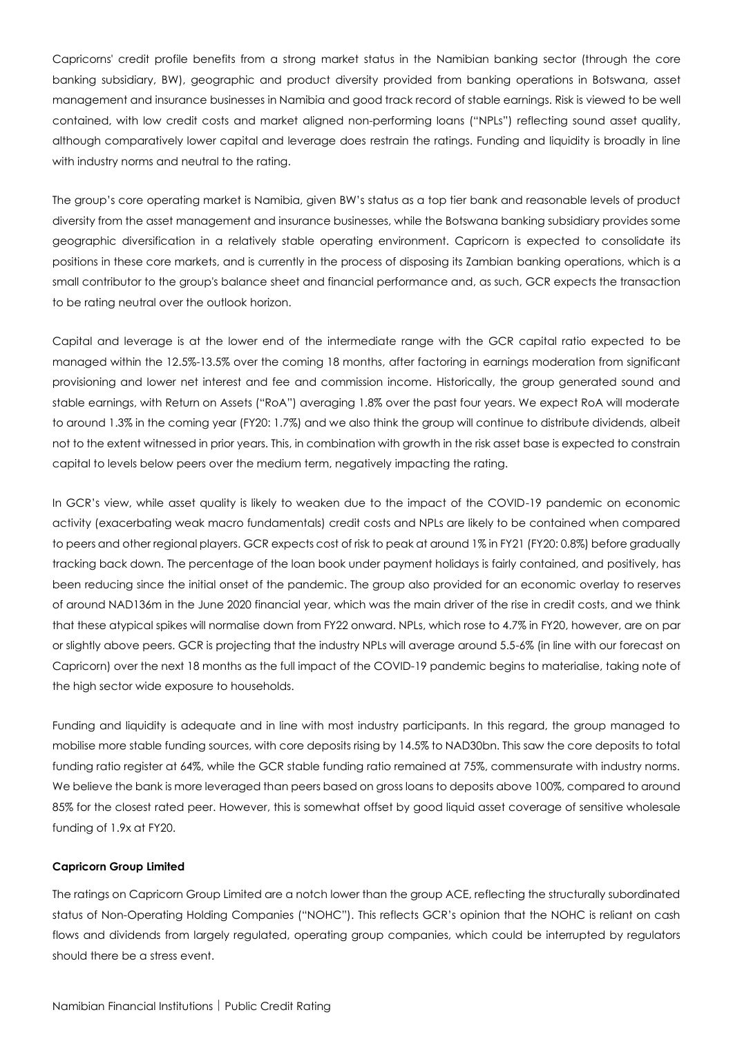Capricorns' credit profile benefits from a strong market status in the Namibian banking sector (through the core banking subsidiary, BW), geographic and product diversity provided from banking operations in Botswana, asset management and insurance businesses in Namibia and good track record of stable earnings. Risk is viewed to be well contained, with low credit costs and market aligned non-performing loans ("NPLs") reflecting sound asset quality, although comparatively lower capital and leverage does restrain the ratings. Funding and liquidity is broadly in line with industry norms and neutral to the rating.

The group's core operating market is Namibia, given BW's status as a top tier bank and reasonable levels of product diversity from the asset management and insurance businesses, while the Botswana banking subsidiary provides some geographic diversification in a relatively stable operating environment. Capricorn is expected to consolidate its positions in these core markets, and is currently in the process of disposing its Zambian banking operations, which is a small contributor to the group's balance sheet and financial performance and, as such, GCR expects the transaction to be rating neutral over the outlook horizon.

Capital and leverage is at the lower end of the intermediate range with the GCR capital ratio expected to be managed within the 12.5%-13.5% over the coming 18 months, after factoring in earnings moderation from significant provisioning and lower net interest and fee and commission income. Historically, the group generated sound and stable earnings, with Return on Assets ("RoA") averaging 1.8% over the past four years. We expect RoA will moderate to around 1.3% in the coming year (FY20: 1.7%) and we also think the group will continue to distribute dividends, albeit not to the extent witnessed in prior years. This, in combination with growth in the risk asset base is expected to constrain capital to levels below peers over the medium term, negatively impacting the rating.

In GCR's view, while asset quality is likely to weaken due to the impact of the COVID-19 pandemic on economic activity (exacerbating weak macro fundamentals) credit costs and NPLs are likely to be contained when compared to peers and other regional players. GCR expects cost of risk to peak at around 1% in FY21 (FY20: 0.8%) before gradually tracking back down. The percentage of the loan book under payment holidays is fairly contained, and positively, has been reducing since the initial onset of the pandemic. The group also provided for an economic overlay to reserves of around NAD136m in the June 2020 financial year, which was the main driver of the rise in credit costs, and we think that these atypical spikes will normalise down from FY22 onward. NPLs, which rose to 4.7% in FY20, however, are on par or slightly above peers. GCR is projecting that the industry NPLs will average around 5.5-6% (in line with our forecast on Capricorn) over the next 18 months as the full impact of the COVID-19 pandemic begins to materialise, taking note of the high sector wide exposure to households.

Funding and liquidity is adequate and in line with most industry participants. In this regard, the group managed to mobilise more stable funding sources, with core deposits rising by 14.5% to NAD30bn. This saw the core deposits to total funding ratio register at 64%, while the GCR stable funding ratio remained at 75%, commensurate with industry norms. We believe the bank is more leveraged than peers based on gross loans to deposits above 100%, compared to around 85% for the closest rated peer. However, this is somewhat offset by good liquid asset coverage of sensitive wholesale funding of 1.9x at FY20.

### **Capricorn Group Limited**

The ratings on Capricorn Group Limited are a notch lower than the group ACE, reflecting the structurally subordinated status of Non-Operating Holding Companies ("NOHC"). This reflects GCR's opinion that the NOHC is reliant on cash flows and dividends from largely regulated, operating group companies, which could be interrupted by regulators should there be a stress event.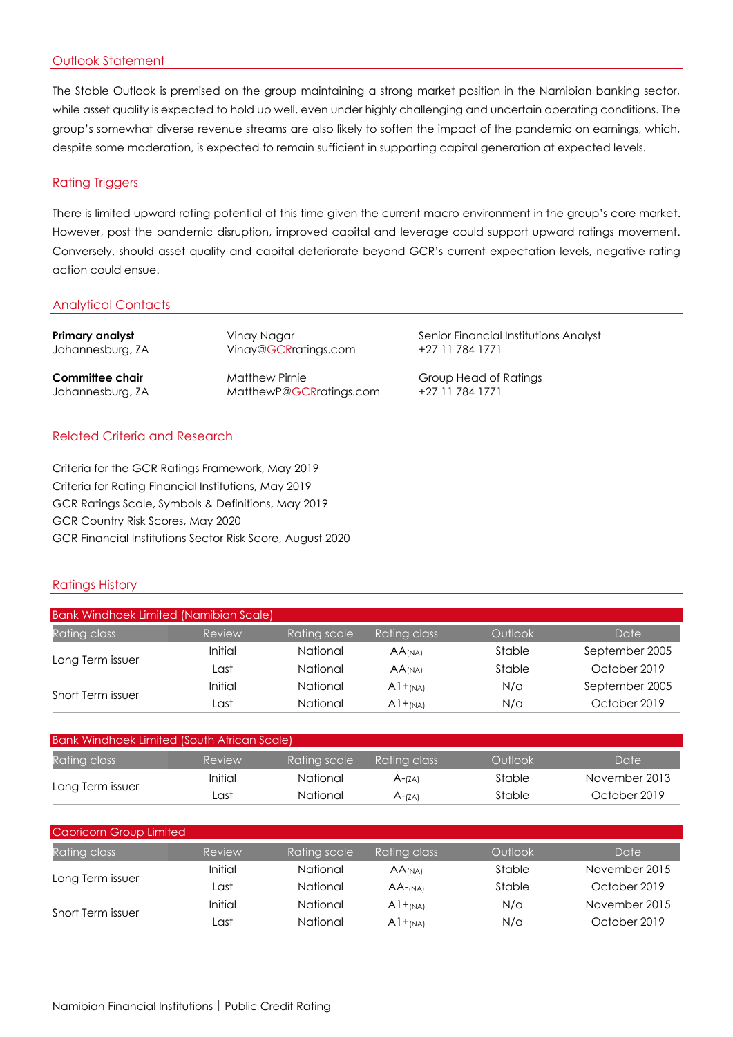# Outlook Statement

The Stable Outlook is premised on the group maintaining a strong market position in the Namibian banking sector, while asset quality is expected to hold up well, even under highly challenging and uncertain operating conditions. The group's somewhat diverse revenue streams are also likely to soften the impact of the pandemic on earnings, which, despite some moderation, is expected to remain sufficient in supporting capital generation at expected levels.

### Rating Triggers

There is limited upward rating potential at this time given the current macro environment in the group's core market. However, post the pandemic disruption, improved capital and leverage could support upward ratings movement. Conversely, should asset quality and capital deteriorate beyond GCR's current expectation levels, negative rating action could ensue.

# Analytical Contacts

| Primary analyst  | Vinay Nagar             | Senior Financial Institutions Analyst |
|------------------|-------------------------|---------------------------------------|
| Johannesburg, ZA | Vinay@GCRratings.com    | +27 11 784 1771                       |
| Committee chair  | <b>Matthew Pirnie</b>   | Group Head of Ratings                 |
| Johannesburg, ZA | MatthewP@GCRratings.com | +27 11 784 1771                       |

# Related Criteria and Research

Criteria for the GCR Ratings Framework, May 2019 Criteria for Rating Financial Institutions, May 2019 GCR Ratings Scale, Symbols & Definitions, May 2019 GCR Country Risk Scores, May 2020 GCR Financial Institutions Sector Risk Score, August 2020

# Ratings History

| Bank Windhoek Limited (Namibian Scale) |         |              |                      |         |                |
|----------------------------------------|---------|--------------|----------------------|---------|----------------|
| Rating class                           | Review  | Rating scale | Rating class,        | Outlook | Date           |
| Long Term issuer                       | Initial | National     | $AA$ <sub>(NA)</sub> | Stable  | September 2005 |
|                                        | Last    | National     | $AA$ <sub>(NA)</sub> | Stable  | October 2019   |
| Short Term issuer                      | Initial | National     | $A1+_{(NA)}$         | N/a     | September 2005 |
|                                        | ∟ast    | National     | $A1 + (NA)$          | N/a     | October 2019   |

| Bank Windhoek Limited (South African Scale) |         |              |              |         |               |
|---------------------------------------------|---------|--------------|--------------|---------|---------------|
| Rating class                                | Review  | Rating scale | Ratina class | Outlook | Date          |
| Long Term issuer                            | Initial | National     | $A - (ZA)$   | Stable  | November 2013 |
|                                             | Last    | National     | $A$ - $(7A)$ | Stable  | October 2019  |

| Capricorn Group Limited |         |              |                      |         |               |
|-------------------------|---------|--------------|----------------------|---------|---------------|
| Rating class            | Review  | Rating scale | Rating class         | Outlook | Date          |
| Long Term issuer        | Initial | National     | $AA$ <sub>(NA)</sub> | Stable  | November 2015 |
|                         | Last    | National     | $AA$ -(NA)           | Stable  | October 2019  |
| Short Term issuer       | Initial | National     | $A1+_{(NA)}$         | N/a     | November 2015 |
|                         | ∟ast    | National     | $A1+_{(NA)}$         | N/a     | October 2019  |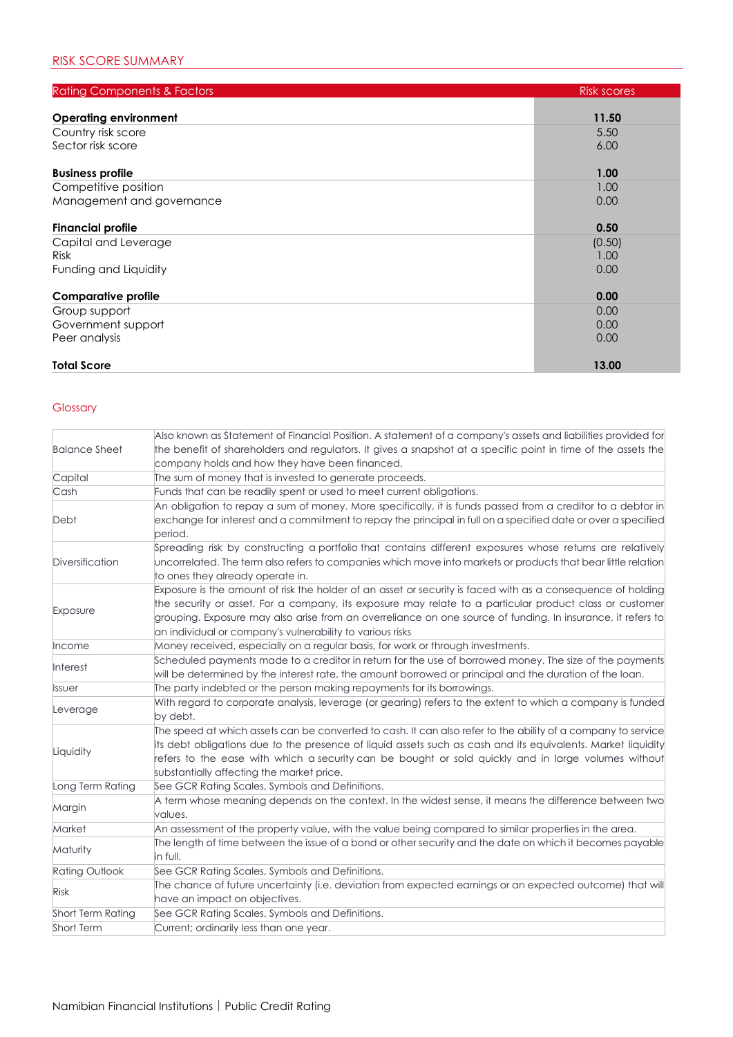| <b>Rating Components &amp; Factors</b> | <b>Risk scores</b> |
|----------------------------------------|--------------------|
| <b>Operating environment</b>           | 11.50              |
| Country risk score                     | 5.50               |
| Sector risk score                      | 6.00               |
| <b>Business profile</b>                | 1.00               |
| Competitive position                   | 1.00               |
| Management and governance              | 0.00               |
| <b>Financial profile</b>               | 0.50               |
| Capital and Leverage                   | (0.50)             |
| <b>Risk</b>                            | 1.00               |
| Funding and Liquidity                  | 0.00               |
| <b>Comparative profile</b>             | 0.00               |
| Group support                          | 0.00               |
| Government support                     | 0.00               |
| Peer analysis                          | 0.00               |
| <b>Total Score</b>                     | 13.00              |

# Glossary

| <b>Balance Sheet</b>  | Also known as Statement of Financial Position. A statement of a company's assets and liabilities provided for<br>the benefit of shareholders and regulators. It gives a snapshot at a specific point in time of the assets the<br>company holds and how they have been financed.                                                                                                                   |
|-----------------------|----------------------------------------------------------------------------------------------------------------------------------------------------------------------------------------------------------------------------------------------------------------------------------------------------------------------------------------------------------------------------------------------------|
| Capital               | The sum of money that is invested to generate proceeds.                                                                                                                                                                                                                                                                                                                                            |
| Cash                  | Funds that can be readily spent or used to meet current obligations.                                                                                                                                                                                                                                                                                                                               |
| Debt                  | An obligation to repay a sum of money. More specifically, it is funds passed from a creditor to a debtor in<br>exchange for interest and a commitment to repay the principal in full on a specified date or over a specified<br>period.                                                                                                                                                            |
| Diversification       | Spreading risk by constructing a portfolio that contains different exposures whose returns are relatively<br>uncorrelated. The term also refers to companies which move into markets or products that bear little relation<br>to ones they already operate in.                                                                                                                                     |
| Exposure              | Exposure is the amount of risk the holder of an asset or security is faced with as a consequence of holding<br>the security or asset. For a company, its exposure may relate to a particular product class or customer<br>grouping. Exposure may also arise from an overreliance on one source of funding. In insurance, it refers to<br>an individual or company's vulnerability to various risks |
| Income                | Money received, especially on a regular basis, for work or through investments.                                                                                                                                                                                                                                                                                                                    |
| Interest              | Scheduled payments made to a creditor in return for the use of borrowed money. The size of the payments<br>will be determined by the interest rate, the amount borrowed or principal and the duration of the loan.                                                                                                                                                                                 |
| <b>Issuer</b>         | The party indebted or the person making repayments for its borrowings.                                                                                                                                                                                                                                                                                                                             |
| Leverage              | With regard to corporate analysis, leverage (or gearing) refers to the extent to which a company is funded<br>by debt.                                                                                                                                                                                                                                                                             |
| Liquidity             | The speed at which assets can be converted to cash. It can also refer to the ability of a company to service<br>its debt obligations due to the presence of liquid assets such as cash and its equivalents. Market liquidity<br>refers to the ease with which a security can be bought or sold quickly and in large volumes without<br>substantially affecting the market price.                   |
| Long Term Rating      | See GCR Rating Scales, Symbols and Definitions.                                                                                                                                                                                                                                                                                                                                                    |
| Margin                | A term whose meaning depends on the context. In the widest sense, it means the difference between two<br>values.                                                                                                                                                                                                                                                                                   |
| Market                | An assessment of the property value, with the value being compared to similar properties in the area.                                                                                                                                                                                                                                                                                              |
| Maturity              | The length of time between the issue of a bond or other security and the date on which it becomes payable<br>in full.                                                                                                                                                                                                                                                                              |
| <b>Rating Outlook</b> | See GCR Rating Scales, Symbols and Definitions.                                                                                                                                                                                                                                                                                                                                                    |
| <b>Risk</b>           | The chance of future uncertainty (i.e. deviation from expected earnings or an expected outcome) that will<br>have an impact on objectives.                                                                                                                                                                                                                                                         |
| Short Term Rating     | See GCR Rating Scales, Symbols and Definitions.                                                                                                                                                                                                                                                                                                                                                    |
| Short Term            | Current; ordinarily less than one year.                                                                                                                                                                                                                                                                                                                                                            |
|                       |                                                                                                                                                                                                                                                                                                                                                                                                    |